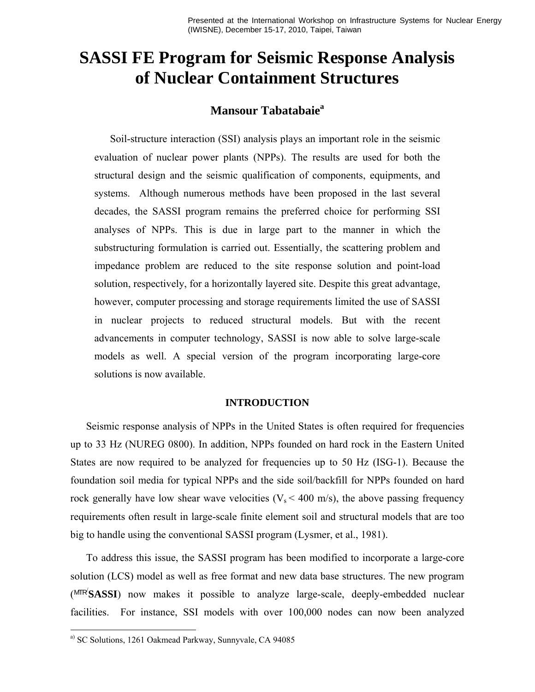Presented at the International Workshop on Infrastructure Systems for Nuclear Energy (IWISNE), December 15-17, 2010, Taipei, Taiwan

# **SASSI FE Program for Seismic Response Analysis of Nuclear Containment Structures**

# **Mansour Tabatabaie<sup>a</sup>**

Soil-structure interaction (SSI) analysis plays an important role in the seismic evaluation of nuclear power plants (NPPs). The results are used for both the structural design and the seismic qualification of components, equipments, and systems. Although numerous methods have been proposed in the last several decades, the SASSI program remains the preferred choice for performing SSI analyses of NPPs. This is due in large part to the manner in which the substructuring formulation is carried out. Essentially, the scattering problem and impedance problem are reduced to the site response solution and point-load solution, respectively, for a horizontally layered site. Despite this great advantage, however, computer processing and storage requirements limited the use of SASSI in nuclear projects to reduced structural models. But with the recent advancements in computer technology, SASSI is now able to solve large-scale models as well. A special version of the program incorporating large-core solutions is now available.

## **INTRODUCTION**

Seismic response analysis of NPPs in the United States is often required for frequencies up to 33 Hz (NUREG 0800). In addition, NPPs founded on hard rock in the Eastern United States are now required to be analyzed for frequencies up to 50 Hz (ISG-1). Because the foundation soil media for typical NPPs and the side soil/backfill for NPPs founded on hard rock generally have low shear wave velocities ( $V_s$  < 400 m/s), the above passing frequency requirements often result in large-scale finite element soil and structural models that are too big to handle using the conventional SASSI program (Lysmer, et al., 1981).

To address this issue, the SASSI program has been modified to incorporate a large-core solution (LCS) model as well as free format and new data base structures. The new program (MTR/ **SASSI**) now makes it possible to analyze large-scale, deeply-embedded nuclear facilities. For instance, SSI models with over 100,000 nodes can now been analyzed

 $\overline{a}$ 

a) SC Solutions, 1261 Oakmead Parkway, Sunnyvale, CA 94085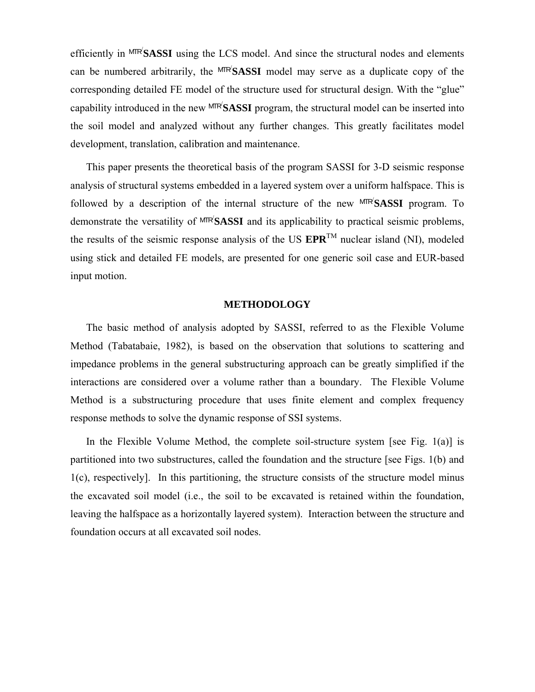efficiently in MTR<sup>/</sup>SASSI using the LCS model. And since the structural nodes and elements can be numbered arbitrarily, the MTR<sup>/</sup>SASSI model may serve as a duplicate copy of the corresponding detailed FE model of the structure used for structural design. With the "glue" capability introduced in the new MTR/ **SASSI** program, the structural model can be inserted into the soil model and analyzed without any further changes. This greatly facilitates model development, translation, calibration and maintenance.

This paper presents the theoretical basis of the program SASSI for 3-D seismic response analysis of structural systems embedded in a layered system over a uniform halfspace. This is followed by a description of the internal structure of the new MTR/ **SASSI** program. To demonstrate the versatility of MTR/ **SASSI** and its applicability to practical seismic problems, the results of the seismic response analysis of the US  $EPR^{TM}$  nuclear island (NI), modeled using stick and detailed FE models, are presented for one generic soil case and EUR-based input motion.

## **METHODOLOGY**

The basic method of analysis adopted by SASSI, referred to as the Flexible Volume Method (Tabatabaie, 1982), is based on the observation that solutions to scattering and impedance problems in the general substructuring approach can be greatly simplified if the interactions are considered over a volume rather than a boundary. The Flexible Volume Method is a substructuring procedure that uses finite element and complex frequency response methods to solve the dynamic response of SSI systems.

In the Flexible Volume Method, the complete soil-structure system [see Fig.  $1(a)$ ] is partitioned into two substructures, called the foundation and the structure [see Figs. 1(b) and 1(c), respectively]. In this partitioning, the structure consists of the structure model minus the excavated soil model (i.e., the soil to be excavated is retained within the foundation, leaving the halfspace as a horizontally layered system). Interaction between the structure and foundation occurs at all excavated soil nodes.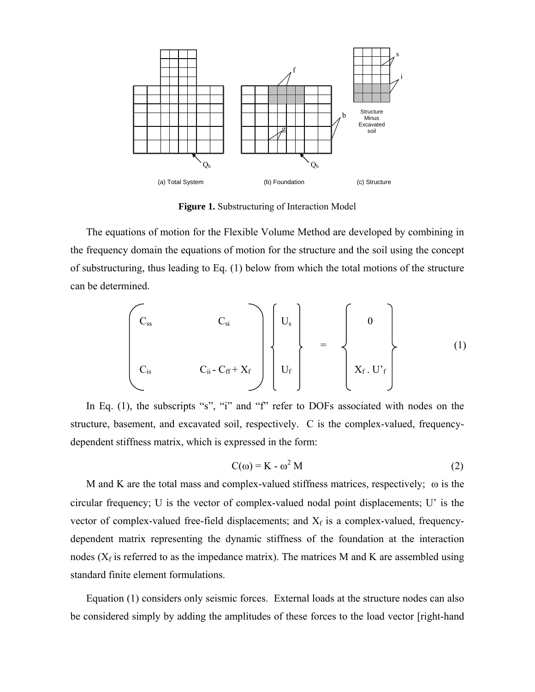

**Figure 1.** Substructuring of Interaction Model

The equations of motion for the Flexible Volume Method are developed by combining in the frequency domain the equations of motion for the structure and the soil using the concept of substructuring, thus leading to Eq. (1) below from which the total motions of the structure can be determined.

 Css Csi Us 0 = (1) Cis Cii - Cff + Xf Uf Xf . U'f

In Eq. (1), the subscripts "s", "i" and "f" refer to DOFs associated with nodes on the structure, basement, and excavated soil, respectively. C is the complex-valued, frequencydependent stiffness matrix, which is expressed in the form:

$$
C(\omega) = K - \omega^2 M \tag{2}
$$

M and K are the total mass and complex-valued stiffness matrices, respectively;  $\omega$  is the circular frequency; U is the vector of complex-valued nodal point displacements; U' is the vector of complex-valued free-field displacements; and  $X_f$  is a complex-valued, frequencydependent matrix representing the dynamic stiffness of the foundation at the interaction nodes ( $X_f$  is referred to as the impedance matrix). The matrices M and K are assembled using standard finite element formulations.

Equation (1) considers only seismic forces. External loads at the structure nodes can also be considered simply by adding the amplitudes of these forces to the load vector [right-hand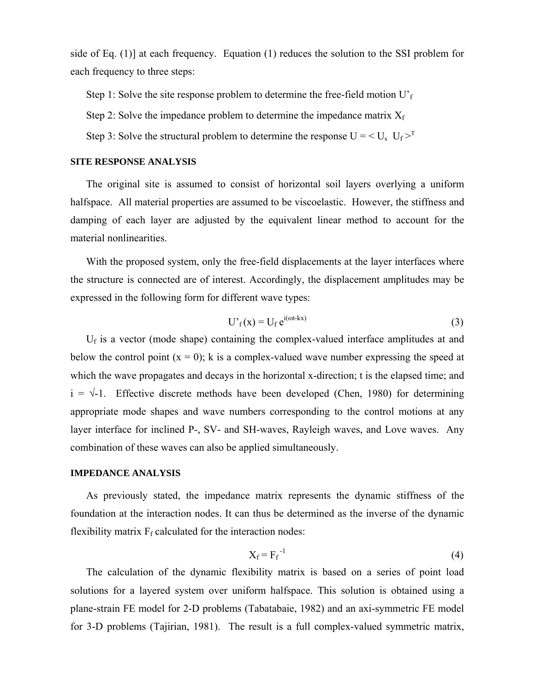side of Eq. (1)] at each frequency. Equation (1) reduces the solution to the SSI problem for each frequency to three steps:

Step 1: Solve the site response problem to determine the free-field motion  $U<sub>f</sub>$ 

Step 2: Solve the impedance problem to determine the impedance matrix  $X_f$ 

Step 3: Solve the structural problem to determine the response  $U = \langle U_s \ U_f \rangle^T$ 

#### **SITE RESPONSE ANALYSIS**

The original site is assumed to consist of horizontal soil layers overlying a uniform halfspace. All material properties are assumed to be viscoelastic. However, the stiffness and damping of each layer are adjusted by the equivalent linear method to account for the material nonlinearities.

With the proposed system, only the free-field displacements at the layer interfaces where the structure is connected are of interest. Accordingly, the displacement amplitudes may be expressed in the following form for different wave types:

$$
U'_{f}(x) = U_{f} e^{i(\omega t - kx)}
$$
 (3)

 $U_f$  is a vector (mode shape) containing the complex-valued interface amplitudes at and below the control point  $(x = 0)$ ; k is a complex-valued wave number expressing the speed at which the wave propagates and decays in the horizontal x-direction; t is the elapsed time; and  $i = \sqrt{-1}$ . Effective discrete methods have been developed (Chen, 1980) for determining appropriate mode shapes and wave numbers corresponding to the control motions at any layer interface for inclined P-, SV- and SH-waves, Rayleigh waves, and Love waves. Any combination of these waves can also be applied simultaneously.

# **IMPEDANCE ANALYSIS**

As previously stated, the impedance matrix represents the dynamic stiffness of the foundation at the interaction nodes. It can thus be determined as the inverse of the dynamic flexibility matrix  $F_f$  calculated for the interaction nodes:

$$
X_f = F_f^{-1}
$$
 (4)

The calculation of the dynamic flexibility matrix is based on a series of point load solutions for a layered system over uniform halfspace. This solution is obtained using a plane-strain FE model for 2-D problems (Tabatabaie, 1982) and an axi-symmetric FE model for 3-D problems (Tajirian, 1981). The result is a full complex-valued symmetric matrix,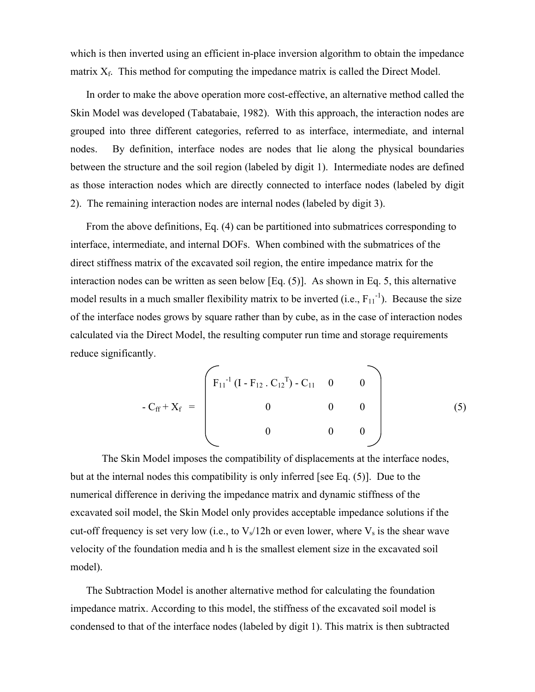which is then inverted using an efficient in-place inversion algorithm to obtain the impedance matrix  $X_f$ . This method for computing the impedance matrix is called the Direct Model.

In order to make the above operation more cost-effective, an alternative method called the Skin Model was developed (Tabatabaie, 1982). With this approach, the interaction nodes are grouped into three different categories, referred to as interface, intermediate, and internal nodes. By definition, interface nodes are nodes that lie along the physical boundaries between the structure and the soil region (labeled by digit 1). Intermediate nodes are defined as those interaction nodes which are directly connected to interface nodes (labeled by digit 2). The remaining interaction nodes are internal nodes (labeled by digit 3).

From the above definitions, Eq. (4) can be partitioned into submatrices corresponding to interface, intermediate, and internal DOFs. When combined with the submatrices of the direct stiffness matrix of the excavated soil region, the entire impedance matrix for the interaction nodes can be written as seen below [Eq. (5)]. As shown in Eq. 5, this alternative model results in a much smaller flexibility matrix to be inverted  $(i.e., F_{11}]$ . Because the size of the interface nodes grows by square rather than by cube, as in the case of interaction nodes calculated via the Direct Model, the resulting computer run time and storage requirements reduce significantly.

$$
-C_{ff} + X_f = \begin{pmatrix} F_{11}^{-1} (I - F_{12} \cdot C_{12}^{-T}) - C_{11} & 0 & 0 \\ 0 & 0 & 0 \\ 0 & 0 & 0 \end{pmatrix}
$$
 (5)

 The Skin Model imposes the compatibility of displacements at the interface nodes, but at the internal nodes this compatibility is only inferred [see Eq. (5)]. Due to the numerical difference in deriving the impedance matrix and dynamic stiffness of the excavated soil model, the Skin Model only provides acceptable impedance solutions if the cut-off frequency is set very low (i.e., to  $V_s/12h$  or even lower, where  $V_s$  is the shear wave velocity of the foundation media and h is the smallest element size in the excavated soil model).

The Subtraction Model is another alternative method for calculating the foundation impedance matrix. According to this model, the stiffness of the excavated soil model is condensed to that of the interface nodes (labeled by digit 1). This matrix is then subtracted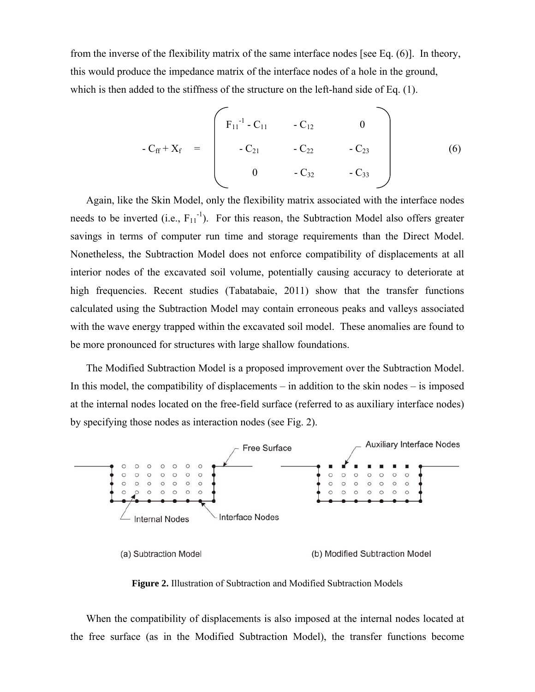from the inverse of the flexibility matrix of the same interface nodes [see Eq. (6)]. In theory, this would produce the impedance matrix of the interface nodes of a hole in the ground, which is then added to the stiffness of the structure on the left-hand side of Eq. (1).

$$
-C_{ff} + X_f = \begin{bmatrix} F_{11}^{-1} - C_{11} & -C_{12} & 0 \\ -C_{21} & -C_{22} & -C_{23} \\ 0 & -C_{32} & -C_{33} \end{bmatrix}
$$
 (6)

Again, like the Skin Model, only the flexibility matrix associated with the interface nodes needs to be inverted (i.e.,  $F_{11}^{-1}$ ). For this reason, the Subtraction Model also offers greater savings in terms of computer run time and storage requirements than the Direct Model. Nonetheless, the Subtraction Model does not enforce compatibility of displacements at all interior nodes of the excavated soil volume, potentially causing accuracy to deteriorate at high frequencies. Recent studies (Tabatabaie, 2011) show that the transfer functions calculated using the Subtraction Model may contain erroneous peaks and valleys associated with the wave energy trapped within the excavated soil model. These anomalies are found to be more pronounced for structures with large shallow foundations.

The Modified Subtraction Model is a proposed improvement over the Subtraction Model. In this model, the compatibility of displacements – in addition to the skin nodes – is imposed at the internal nodes located on the free-field surface (referred to as auxiliary interface nodes) by specifying those nodes as interaction nodes (see Fig. 2).



**Figure 2.** Illustration of Subtraction and Modified Subtraction Models

When the compatibility of displacements is also imposed at the internal nodes located at the free surface (as in the Modified Subtraction Model), the transfer functions become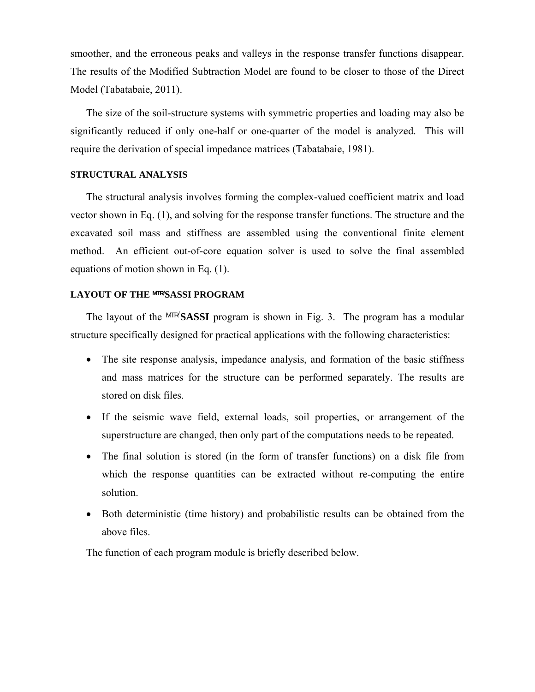smoother, and the erroneous peaks and valleys in the response transfer functions disappear. The results of the Modified Subtraction Model are found to be closer to those of the Direct Model (Tabatabaie, 2011).

The size of the soil-structure systems with symmetric properties and loading may also be significantly reduced if only one-half or one-quarter of the model is analyzed. This will require the derivation of special impedance matrices (Tabatabaie, 1981).

## **STRUCTURAL ANALYSIS**

The structural analysis involves forming the complex-valued coefficient matrix and load vector shown in Eq. (1), and solving for the response transfer functions. The structure and the excavated soil mass and stiffness are assembled using the conventional finite element method. An efficient out-of-core equation solver is used to solve the final assembled equations of motion shown in Eq. (1).

# **LAYOUT OF THE MTR/SASSI PROGRAM**

The layout of the MTR<sup>'</sup>SASSI program is shown in Fig. 3. The program has a modular structure specifically designed for practical applications with the following characteristics:

- The site response analysis, impedance analysis, and formation of the basic stiffness and mass matrices for the structure can be performed separately. The results are stored on disk files.
- If the seismic wave field, external loads, soil properties, or arrangement of the superstructure are changed, then only part of the computations needs to be repeated.
- The final solution is stored (in the form of transfer functions) on a disk file from which the response quantities can be extracted without re-computing the entire solution.
- Both deterministic (time history) and probabilistic results can be obtained from the above files.

The function of each program module is briefly described below.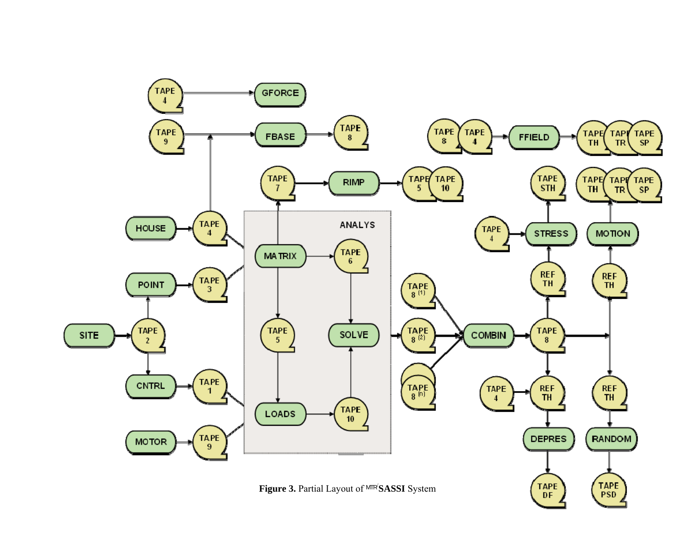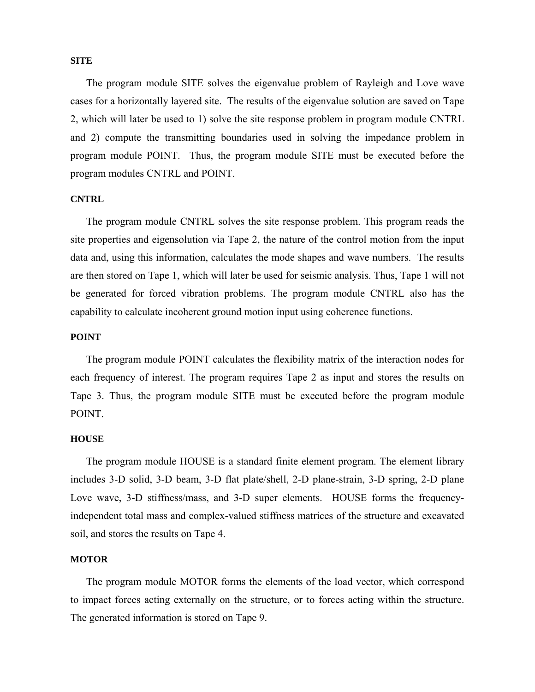## **SITE**

The program module SITE solves the eigenvalue problem of Rayleigh and Love wave cases for a horizontally layered site. The results of the eigenvalue solution are saved on Tape 2, which will later be used to 1) solve the site response problem in program module CNTRL and 2) compute the transmitting boundaries used in solving the impedance problem in program module POINT. Thus, the program module SITE must be executed before the program modules CNTRL and POINT.

## **CNTRL**

The program module CNTRL solves the site response problem. This program reads the site properties and eigensolution via Tape 2, the nature of the control motion from the input data and, using this information, calculates the mode shapes and wave numbers. The results are then stored on Tape 1, which will later be used for seismic analysis. Thus, Tape 1 will not be generated for forced vibration problems. The program module CNTRL also has the capability to calculate incoherent ground motion input using coherence functions.

## **POINT**

The program module POINT calculates the flexibility matrix of the interaction nodes for each frequency of interest. The program requires Tape 2 as input and stores the results on Tape 3. Thus, the program module SITE must be executed before the program module POINT.

#### **HOUSE**

The program module HOUSE is a standard finite element program. The element library includes 3-D solid, 3-D beam, 3-D flat plate/shell, 2-D plane-strain, 3-D spring, 2-D plane Love wave, 3-D stiffness/mass, and 3-D super elements. HOUSE forms the frequencyindependent total mass and complex-valued stiffness matrices of the structure and excavated soil, and stores the results on Tape 4.

## **MOTOR**

The program module MOTOR forms the elements of the load vector, which correspond to impact forces acting externally on the structure, or to forces acting within the structure. The generated information is stored on Tape 9.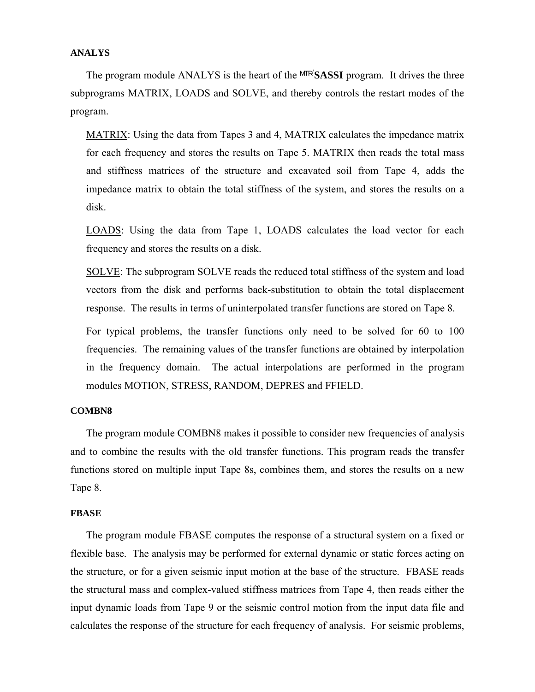## **ANALYS**

The program module ANALYS is the heart of the MTR<sup>/</sup>SASSI program. It drives the three subprograms MATRIX, LOADS and SOLVE, and thereby controls the restart modes of the program.

MATRIX: Using the data from Tapes 3 and 4, MATRIX calculates the impedance matrix for each frequency and stores the results on Tape 5. MATRIX then reads the total mass and stiffness matrices of the structure and excavated soil from Tape 4, adds the impedance matrix to obtain the total stiffness of the system, and stores the results on a disk.

LOADS: Using the data from Tape 1, LOADS calculates the load vector for each frequency and stores the results on a disk.

SOLVE: The subprogram SOLVE reads the reduced total stiffness of the system and load vectors from the disk and performs back-substitution to obtain the total displacement response. The results in terms of uninterpolated transfer functions are stored on Tape 8.

For typical problems, the transfer functions only need to be solved for 60 to 100 frequencies. The remaining values of the transfer functions are obtained by interpolation in the frequency domain. The actual interpolations are performed in the program modules MOTION, STRESS, RANDOM, DEPRES and FFIELD.

#### **COMBN8**

The program module COMBN8 makes it possible to consider new frequencies of analysis and to combine the results with the old transfer functions. This program reads the transfer functions stored on multiple input Tape 8s, combines them, and stores the results on a new Tape 8.

#### **FBASE**

The program module FBASE computes the response of a structural system on a fixed or flexible base. The analysis may be performed for external dynamic or static forces acting on the structure, or for a given seismic input motion at the base of the structure. FBASE reads the structural mass and complex-valued stiffness matrices from Tape 4, then reads either the input dynamic loads from Tape 9 or the seismic control motion from the input data file and calculates the response of the structure for each frequency of analysis. For seismic problems,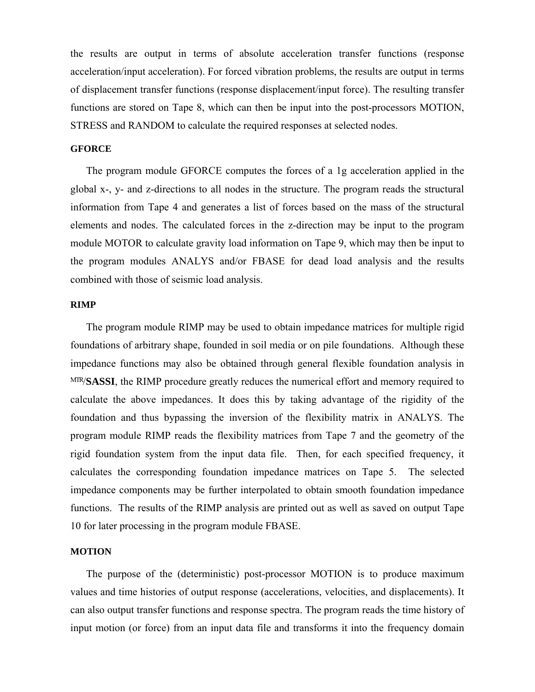the results are output in terms of absolute acceleration transfer functions (response acceleration/input acceleration). For forced vibration problems, the results are output in terms of displacement transfer functions (response displacement/input force). The resulting transfer functions are stored on Tape 8, which can then be input into the post-processors MOTION, STRESS and RANDOM to calculate the required responses at selected nodes.

## **GFORCE**

The program module GFORCE computes the forces of a 1g acceleration applied in the global x-, y- and z-directions to all nodes in the structure. The program reads the structural information from Tape 4 and generates a list of forces based on the mass of the structural elements and nodes. The calculated forces in the z-direction may be input to the program module MOTOR to calculate gravity load information on Tape 9, which may then be input to the program modules ANALYS and/or FBASE for dead load analysis and the results combined with those of seismic load analysis.

## **RIMP**

The program module RIMP may be used to obtain impedance matrices for multiple rigid foundations of arbitrary shape, founded in soil media or on pile foundations. Although these impedance functions may also be obtained through general flexible foundation analysis in MTR/**SASSI**, the RIMP procedure greatly reduces the numerical effort and memory required to calculate the above impedances. It does this by taking advantage of the rigidity of the foundation and thus bypassing the inversion of the flexibility matrix in ANALYS. The program module RIMP reads the flexibility matrices from Tape 7 and the geometry of the rigid foundation system from the input data file. Then, for each specified frequency, it calculates the corresponding foundation impedance matrices on Tape 5. The selected impedance components may be further interpolated to obtain smooth foundation impedance functions. The results of the RIMP analysis are printed out as well as saved on output Tape 10 for later processing in the program module FBASE.

#### **MOTION**

The purpose of the (deterministic) post-processor MOTION is to produce maximum values and time histories of output response (accelerations, velocities, and displacements). It can also output transfer functions and response spectra. The program reads the time history of input motion (or force) from an input data file and transforms it into the frequency domain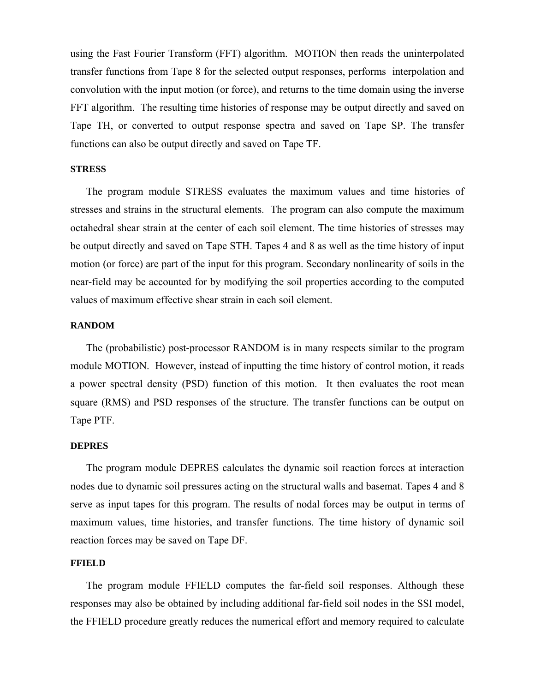using the Fast Fourier Transform (FFT) algorithm. MOTION then reads the uninterpolated transfer functions from Tape 8 for the selected output responses, performs interpolation and convolution with the input motion (or force), and returns to the time domain using the inverse FFT algorithm. The resulting time histories of response may be output directly and saved on Tape TH, or converted to output response spectra and saved on Tape SP. The transfer functions can also be output directly and saved on Tape TF.

## **STRESS**

The program module STRESS evaluates the maximum values and time histories of stresses and strains in the structural elements. The program can also compute the maximum octahedral shear strain at the center of each soil element. The time histories of stresses may be output directly and saved on Tape STH. Tapes 4 and 8 as well as the time history of input motion (or force) are part of the input for this program. Secondary nonlinearity of soils in the near-field may be accounted for by modifying the soil properties according to the computed values of maximum effective shear strain in each soil element.

## **RANDOM**

The (probabilistic) post-processor RANDOM is in many respects similar to the program module MOTION. However, instead of inputting the time history of control motion, it reads a power spectral density (PSD) function of this motion. It then evaluates the root mean square (RMS) and PSD responses of the structure. The transfer functions can be output on Tape PTF.

#### **DEPRES**

The program module DEPRES calculates the dynamic soil reaction forces at interaction nodes due to dynamic soil pressures acting on the structural walls and basemat. Tapes 4 and 8 serve as input tapes for this program. The results of nodal forces may be output in terms of maximum values, time histories, and transfer functions. The time history of dynamic soil reaction forces may be saved on Tape DF.

## **FFIELD**

The program module FFIELD computes the far-field soil responses. Although these responses may also be obtained by including additional far-field soil nodes in the SSI model, the FFIELD procedure greatly reduces the numerical effort and memory required to calculate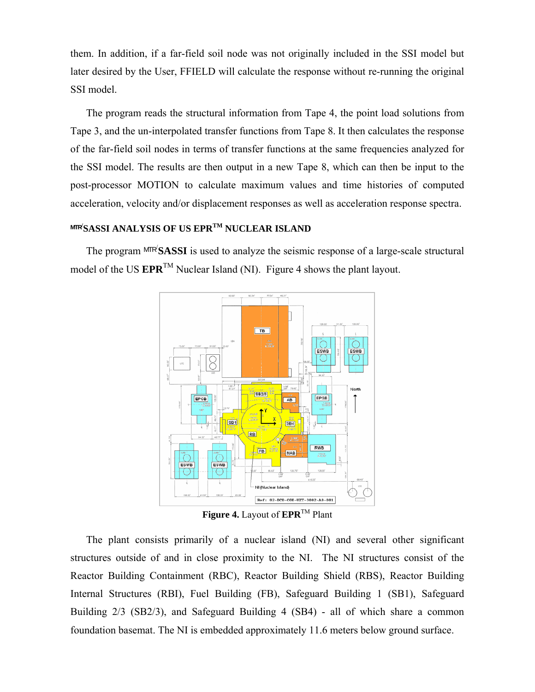them. In addition, if a far-field soil node was not originally included in the SSI model but later desired by the User, FFIELD will calculate the response without re-running the original SSI model.

The program reads the structural information from Tape 4, the point load solutions from Tape 3, and the un-interpolated transfer functions from Tape 8. It then calculates the response of the far-field soil nodes in terms of transfer functions at the same frequencies analyzed for the SSI model. The results are then output in a new Tape 8, which can then be input to the post-processor MOTION to calculate maximum values and time histories of computed acceleration, velocity and/or displacement responses as well as acceleration response spectra.

# **MTR/ SASSI ANALYSIS OF US EPRTM NUCLEAR ISLAND**

The program MTR<sup>/</sup>SASSI is used to analyze the seismic response of a large-scale structural model of the US **EPR**<sup>TM</sup> Nuclear Island (NI). Figure 4 shows the plant layout.



**Figure 4.** Layout of **EPR**TM Plant

The plant consists primarily of a nuclear island (NI) and several other significant structures outside of and in close proximity to the NI. The NI structures consist of the Reactor Building Containment (RBC), Reactor Building Shield (RBS), Reactor Building Internal Structures (RBI), Fuel Building (FB), Safeguard Building 1 (SB1), Safeguard Building 2/3 (SB2/3), and Safeguard Building 4 (SB4) - all of which share a common foundation basemat. The NI is embedded approximately 11.6 meters below ground surface.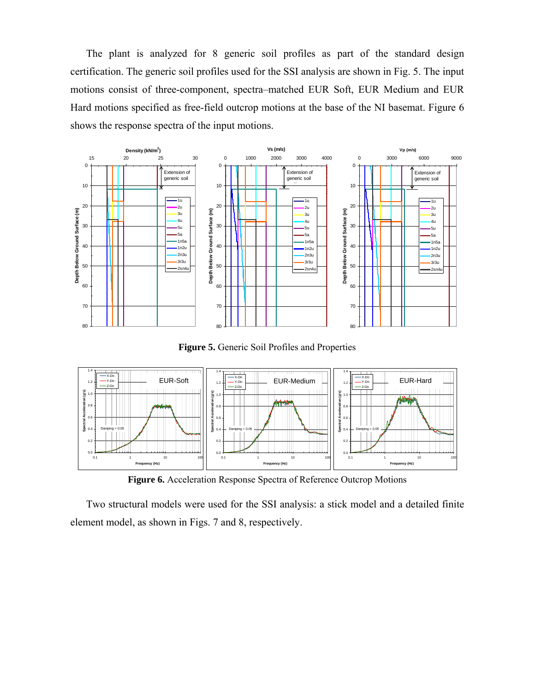The plant is analyzed for 8 generic soil profiles as part of the standard design certification. The generic soil profiles used for the SSI analysis are shown in Fig. 5. The input motions consist of three-component, spectra–matched EUR Soft, EUR Medium and EUR Hard motions specified as free-field outcrop motions at the base of the NI basemat. Figure 6 shows the response spectra of the input motions.



**Figure 5.** Generic Soil Profiles and Properties



**Figure 6.** Acceleration Response Spectra of Reference Outcrop Motions

Two structural models were used for the SSI analysis: a stick model and a detailed finite element model, as shown in Figs. 7 and 8, respectively.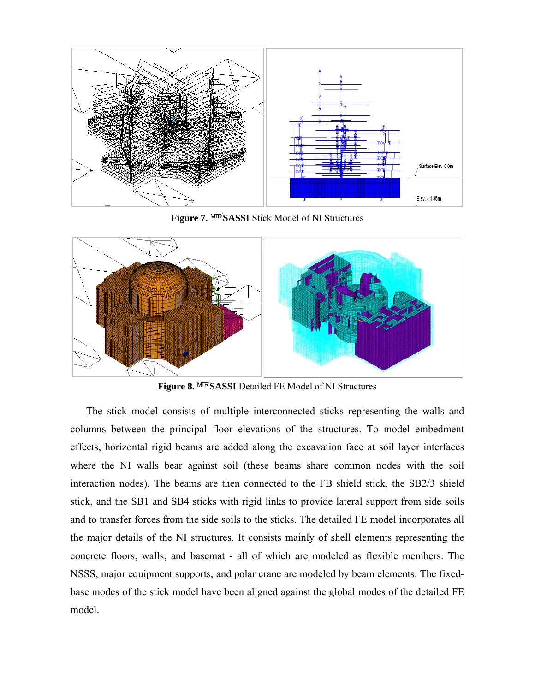

**Figure 7.** MTR/ **SASSI** Stick Model of NI Structures



**Figure 8.** MTR/ **SASSI** Detailed FE Model of NI Structures

The stick model consists of multiple interconnected sticks representing the walls and columns between the principal floor elevations of the structures. To model embedment effects, horizontal rigid beams are added along the excavation face at soil layer interfaces where the NI walls bear against soil (these beams share common nodes with the soil interaction nodes). The beams are then connected to the FB shield stick, the SB2/3 shield stick, and the SB1 and SB4 sticks with rigid links to provide lateral support from side soils and to transfer forces from the side soils to the sticks. The detailed FE model incorporates all the major details of the NI structures. It consists mainly of shell elements representing the concrete floors, walls, and basemat - all of which are modeled as flexible members. The NSSS, major equipment supports, and polar crane are modeled by beam elements. The fixedbase modes of the stick model have been aligned against the global modes of the detailed FE model.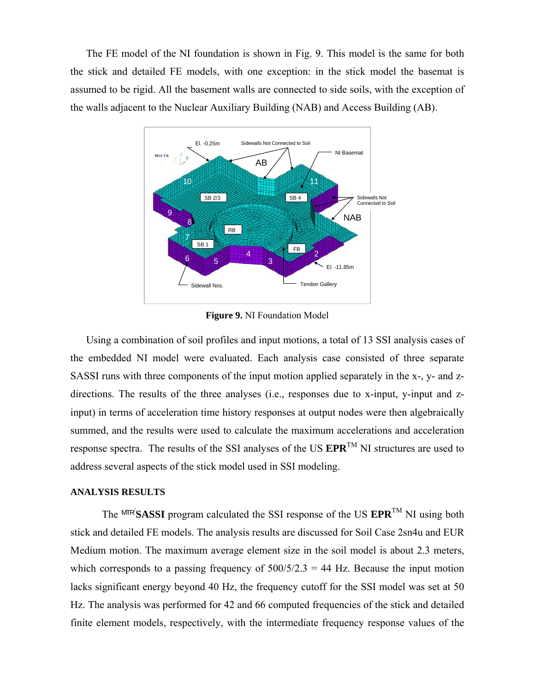The FE model of the NI foundation is shown in Fig. 9. This model is the same for both the stick and detailed FE models, with one exception: in the stick model the basemat is assumed to be rigid. All the basement walls are connected to side soils, with the exception of the walls adjacent to the Nuclear Auxiliary Building (NAB) and Access Building (AB).



**Figure 9.** NI Foundation Model

Using a combination of soil profiles and input motions, a total of 13 SSI analysis cases of the embedded NI model were evaluated. Each analysis case consisted of three separate SASSI runs with three components of the input motion applied separately in the x-, y- and zdirections. The results of the three analyses (i.e., responses due to x-input, y-input and zinput) in terms of acceleration time history responses at output nodes were then algebraically summed, and the results were used to calculate the maximum accelerations and acceleration response spectra. The results of the SSI analyses of the US **EPR**TM NI structures are used to address several aspects of the stick model used in SSI modeling.

## **ANALYSIS RESULTS**

The  $MTR/SASSI$  program calculated the SSI response of the US  $EPR^{TM}$  NI using both stick and detailed FE models. The analysis results are discussed for Soil Case 2sn4u and EUR Medium motion. The maximum average element size in the soil model is about 2.3 meters, which corresponds to a passing frequency of  $500/5/2.3 = 44$  Hz. Because the input motion lacks significant energy beyond 40 Hz, the frequency cutoff for the SSI model was set at 50 Hz. The analysis was performed for 42 and 66 computed frequencies of the stick and detailed finite element models, respectively, with the intermediate frequency response values of the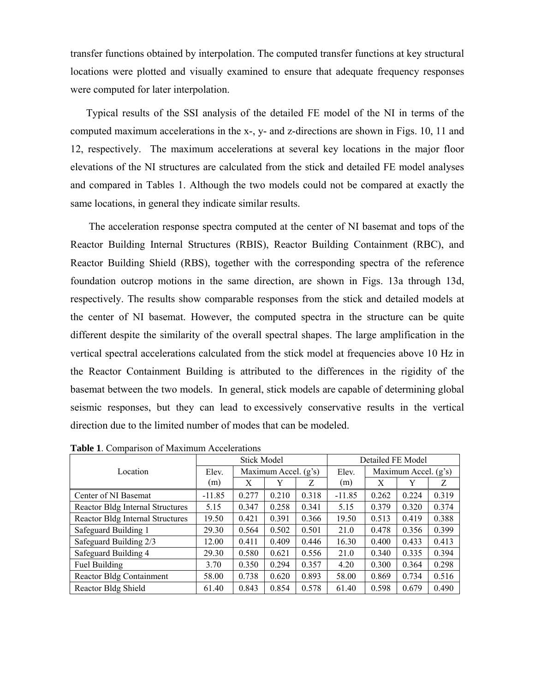transfer functions obtained by interpolation. The computed transfer functions at key structural locations were plotted and visually examined to ensure that adequate frequency responses were computed for later interpolation.

Typical results of the SSI analysis of the detailed FE model of the NI in terms of the computed maximum accelerations in the x-, y- and z-directions are shown in Figs. 10, 11 and 12, respectively. The maximum accelerations at several key locations in the major floor elevations of the NI structures are calculated from the stick and detailed FE model analyses and compared in Tables 1. Although the two models could not be compared at exactly the same locations, in general they indicate similar results.

 The acceleration response spectra computed at the center of NI basemat and tops of the Reactor Building Internal Structures (RBIS), Reactor Building Containment (RBC), and Reactor Building Shield (RBS), together with the corresponding spectra of the reference foundation outcrop motions in the same direction, are shown in Figs. 13a through 13d, respectively. The results show comparable responses from the stick and detailed models at the center of NI basemat. However, the computed spectra in the structure can be quite different despite the similarity of the overall spectral shapes. The large amplification in the vertical spectral accelerations calculated from the stick model at frequencies above 10 Hz in the Reactor Containment Building is attributed to the differences in the rigidity of the basemat between the two models. In general, stick models are capable of determining global seismic responses, but they can lead to excessively conservative results in the vertical direction due to the limited number of modes that can be modeled.

|                                  | <b>Stick Model</b> |                        |       |       | Detailed FE Model |                      |       |       |
|----------------------------------|--------------------|------------------------|-------|-------|-------------------|----------------------|-------|-------|
| Location                         | Elev.              | Maximum Accel. $(g's)$ |       |       | Elev.             | Maximum Accel. (g's) |       |       |
|                                  | (m)                | X                      | Y     | Z     | (m)               | X                    | Y     | Z     |
| Center of NI Basemat             | $-11.85$           | 0.277                  | 0.210 | 0.318 | $-11.85$          | 0.262                | 0.224 | 0.319 |
| Reactor Bldg Internal Structures | 5.15               | 0.347                  | 0.258 | 0.341 | 5.15              | 0.379                | 0.320 | 0.374 |
| Reactor Bldg Internal Structures | 19.50              | 0.421                  | 0.391 | 0.366 | 19.50             | 0.513                | 0.419 | 0.388 |
| Safeguard Building 1             | 29.30              | 0.564                  | 0.502 | 0.501 | 21.0              | 0.478                | 0.356 | 0.399 |
| Safeguard Building 2/3           | 12.00              | 0.411                  | 0.409 | 0.446 | 16.30             | 0.400                | 0.433 | 0.413 |
| Safeguard Building 4             | 29.30              | 0.580                  | 0.621 | 0.556 | 21.0              | 0.340                | 0.335 | 0.394 |
| Fuel Building                    | 3.70               | 0.350                  | 0.294 | 0.357 | 4.20              | 0.300                | 0.364 | 0.298 |
| <b>Reactor Bldg Containment</b>  | 58.00              | 0.738                  | 0.620 | 0.893 | 58.00             | 0.869                | 0.734 | 0.516 |
| Reactor Bldg Shield              | 61.40              | 0.843                  | 0.854 | 0.578 | 61.40             | 0.598                | 0.679 | 0.490 |

**Table 1**. Comparison of Maximum Accelerations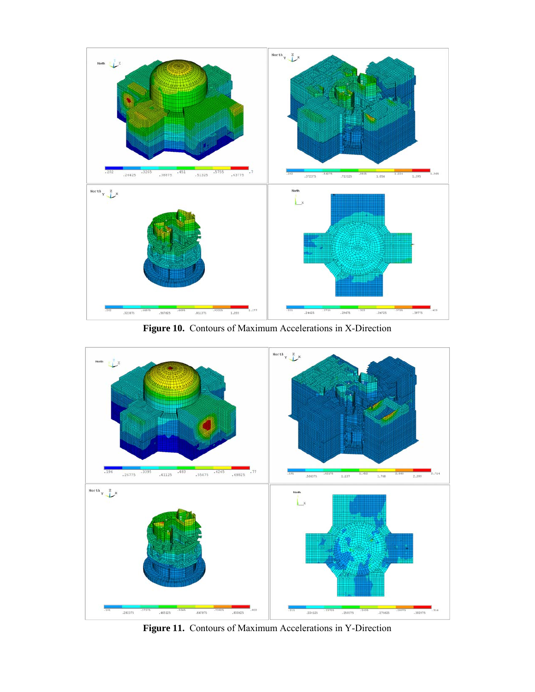

**Figure 10.** Contours of Maximum Accelerations in X-Direction



**Figure 11.** Contours of Maximum Accelerations in Y-Direction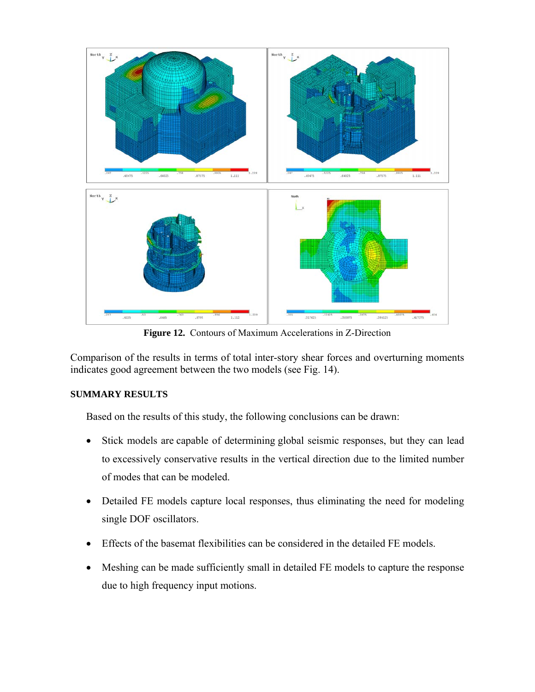

**Figure 12.** Contours of Maximum Accelerations in Z-Direction

Comparison of the results in terms of total inter-story shear forces and overturning moments indicates good agreement between the two models (see Fig. 14).

# **SUMMARY RESULTS**

Based on the results of this study, the following conclusions can be drawn:

- Stick models are capable of determining global seismic responses, but they can lead to excessively conservative results in the vertical direction due to the limited number of modes that can be modeled.
- Detailed FE models capture local responses, thus eliminating the need for modeling single DOF oscillators.
- Effects of the basemat flexibilities can be considered in the detailed FE models.
- Meshing can be made sufficiently small in detailed FE models to capture the response due to high frequency input motions.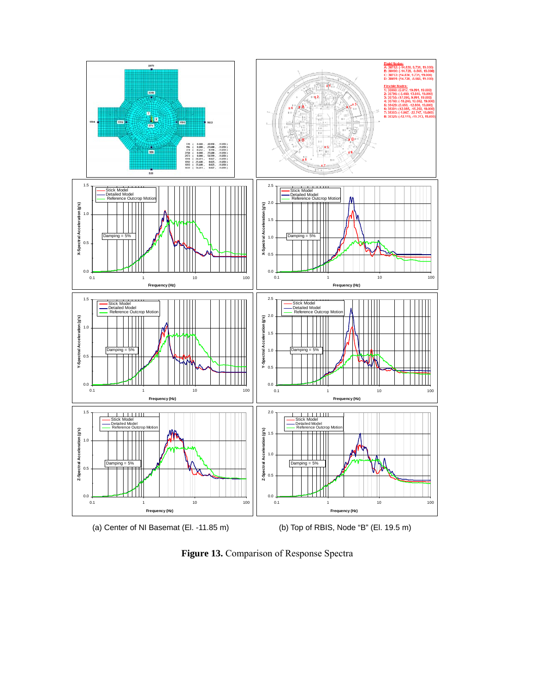



Figure 13. Comparison of Response Spectra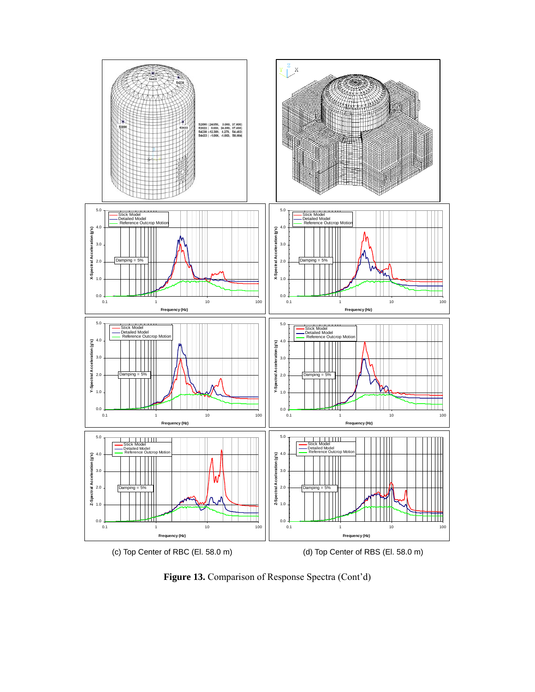

Figure 13. Comparison of Response Spectra (Cont'd)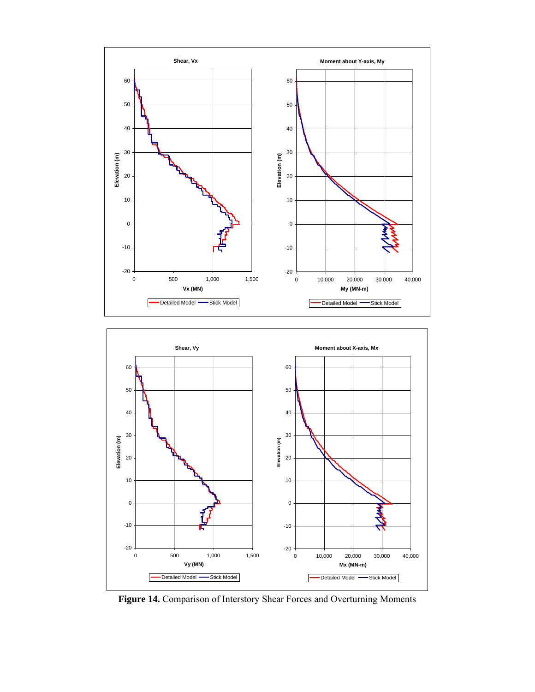



Figure 14. Comparison of Interstory Shear Forces and Overturning Moments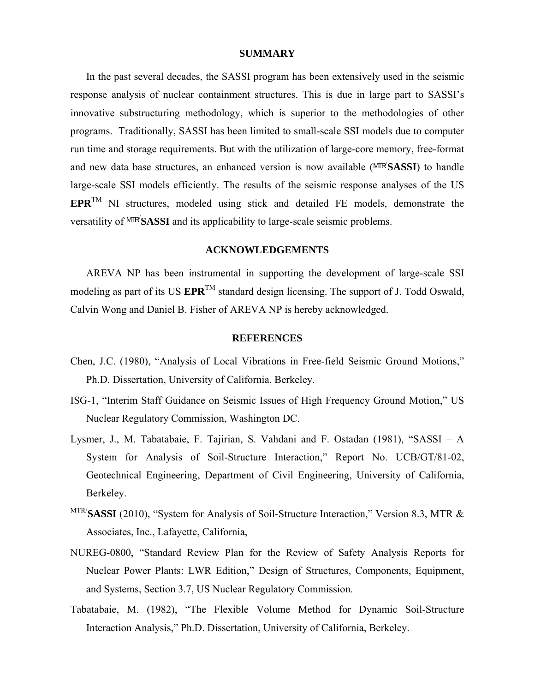#### **SUMMARY**

In the past several decades, the SASSI program has been extensively used in the seismic response analysis of nuclear containment structures. This is due in large part to SASSI's innovative substructuring methodology, which is superior to the methodologies of other programs. Traditionally, SASSI has been limited to small-scale SSI models due to computer run time and storage requirements. But with the utilization of large-core memory, free-format and new data base structures, an enhanced version is now available (MTR/ **SASSI**) to handle large-scale SSI models efficiently. The results of the seismic response analyses of the US **EPR**TM NI structures, modeled using stick and detailed FE models, demonstrate the versatility of MTR/ **SASSI** and its applicability to large-scale seismic problems.

## **ACKNOWLEDGEMENTS**

AREVA NP has been instrumental in supporting the development of large-scale SSI modeling as part of its US  $EPR^{TM}$  standard design licensing. The support of J. Todd Oswald, Calvin Wong and Daniel B. Fisher of AREVA NP is hereby acknowledged.

#### **REFERENCES**

- Chen, J.C. (1980), "Analysis of Local Vibrations in Free-field Seismic Ground Motions," Ph.D. Dissertation, University of California, Berkeley.
- ISG-1, "Interim Staff Guidance on Seismic Issues of High Frequency Ground Motion," US Nuclear Regulatory Commission, Washington DC.
- Lysmer, J., M. Tabatabaie, F. Tajirian, S. Vahdani and F. Ostadan (1981), "SASSI A System for Analysis of Soil-Structure Interaction," Report No. UCB/GT/81-02, Geotechnical Engineering, Department of Civil Engineering, University of California, Berkeley.
- MTR/**SASSI** (2010), "System for Analysis of Soil-Structure Interaction," Version 8.3, MTR & Associates, Inc., Lafayette, California,
- NUREG-0800, "Standard Review Plan for the Review of Safety Analysis Reports for Nuclear Power Plants: LWR Edition," Design of Structures, Components, Equipment, and Systems, Section 3.7, US Nuclear Regulatory Commission.
- Tabatabaie, M. (1982), "The Flexible Volume Method for Dynamic Soil-Structure Interaction Analysis," Ph.D. Dissertation, University of California, Berkeley.